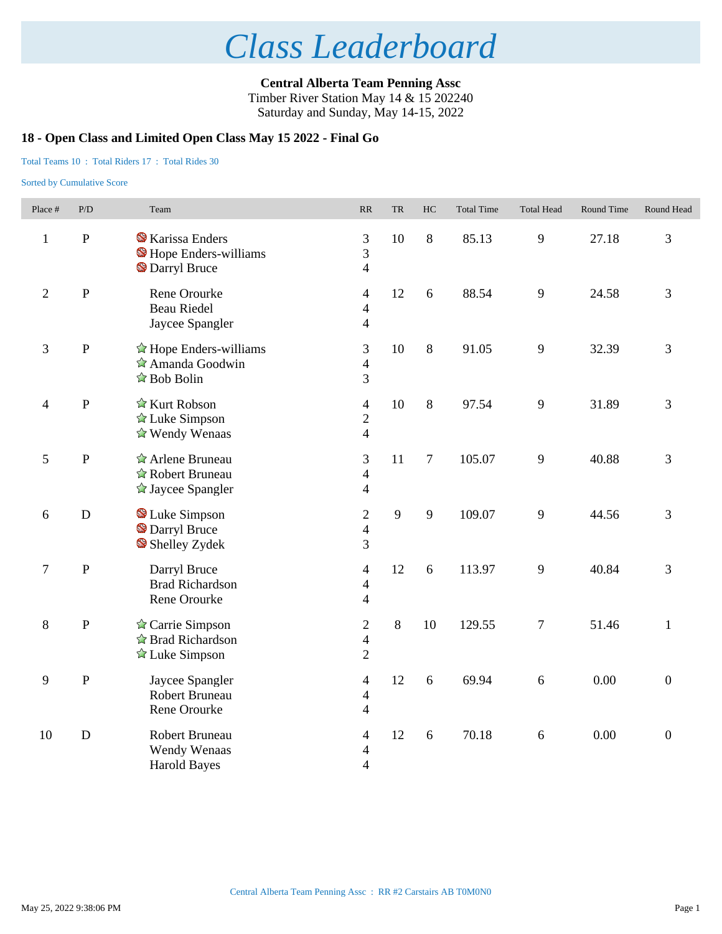**Central Alberta Team Penning Assc** Timber River Station May 14 & 15 202240 Saturday and Sunday, May 14-15, 2022

### **18 - Open Class and Limited Open Class May 15 2022 - Final Go**

#### Total Teams 10 : Total Riders 17 : Total Rides 30

| Place #        | P/D         | Team                                                                                                         | RR                                                 | <b>TR</b> | HC      | <b>Total Time</b> | <b>Total Head</b> | Round Time | Round Head       |
|----------------|-------------|--------------------------------------------------------------------------------------------------------------|----------------------------------------------------|-----------|---------|-------------------|-------------------|------------|------------------|
| $\mathbf{1}$   | ${\bf P}$   | <b>X</b> Karissa Enders<br>Hope Enders-williams<br><b>S</b> Darryl Bruce                                     | 3<br>3<br>$\overline{4}$                           | 10        | $\,8\,$ | 85.13             | 9                 | 27.18      | 3                |
| $\overline{2}$ | ${\bf P}$   | Rene Orourke<br><b>Beau Riedel</b><br>Jaycee Spangler                                                        | $\overline{4}$<br>$\overline{4}$<br>$\overline{4}$ | 12        | 6       | 88.54             | 9                 | 24.58      | 3                |
| $\mathfrak{Z}$ | ${\bf P}$   | $\hat{\mathbb{Z}}$ Hope Enders-williams<br>$\hat{\mathbb{Z}}$ Amanda Goodwin<br>$\hat{\mathbb{Z}}$ Bob Bolin | 3<br>$\overline{4}$<br>3                           | 10        | $\,8\,$ | 91.05             | 9                 | 32.39      | 3                |
| $\overline{4}$ | ${\bf P}$   | $\hat{\mathbb{Z}}$ Kurt Robson<br>$\triangle$ Luke Simpson<br>$\triangle$ Wendy Wenaas                       | $\overline{4}$<br>$\overline{2}$<br>$\overline{4}$ | 10        | 8       | 97.54             | 9                 | 31.89      | 3                |
| 5              | ${\bf P}$   | Arlene Bruneau<br>☆ Robert Bruneau<br>$\triangle$ Jaycee Spangler                                            | 3<br>$\overline{4}$<br>$\overline{4}$              | 11        | $\tau$  | 105.07            | 9                 | 40.88      | 3                |
| 6              | D           | Luke Simpson<br><b>Darryl Bruce</b><br>Shelley Zydek                                                         | $\mathbf{2}$<br>$\overline{\mathcal{A}}$<br>3      | 9         | 9       | 109.07            | 9                 | 44.56      | 3                |
| $\tau$         | ${\bf P}$   | Darryl Bruce<br><b>Brad Richardson</b><br>Rene Orourke                                                       | $\overline{4}$<br>$\overline{4}$<br>$\overline{4}$ | 12        | 6       | 113.97            | 9                 | 40.84      | 3                |
| $8\,$          | ${\bf P}$   | $\triangle$ Carrie Simpson<br>$\triangle$ Brad Richardson<br>$\triangle$ Luke Simpson                        | $\mathbf{2}$<br>$\overline{4}$<br>$\overline{2}$   | 8         | 10      | 129.55            | $\boldsymbol{7}$  | 51.46      | $\mathbf{1}$     |
| 9              | ${\bf P}$   | Jaycee Spangler<br>Robert Bruneau<br>Rene Orourke                                                            | $\overline{4}$<br>$\overline{4}$<br>$\overline{4}$ | 12        | 6       | 69.94             | 6                 | 0.00       | $\overline{0}$   |
| 10             | $\mathbf D$ | Robert Bruneau<br>Wendy Wenaas<br><b>Harold Bayes</b>                                                        | 4<br>4<br>$\overline{4}$                           | 12        | 6       | 70.18             | 6                 | 0.00       | $\boldsymbol{0}$ |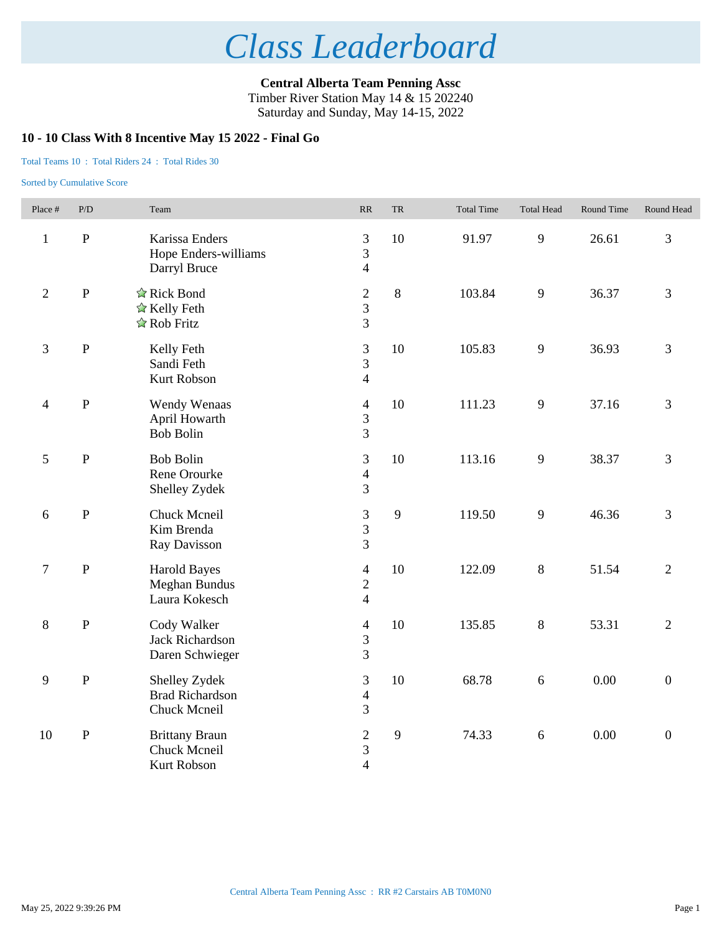**Central Alberta Team Penning Assc** Timber River Station May 14 & 15 202240 Saturday and Sunday, May 14-15, 2022

### **10 - 10 Class With 8 Incentive May 15 2022 - Final Go**

#### Total Teams 10 : Total Riders 24 : Total Rides 30

| Place #          | P/D          | Team                                                        | RR                                                 | ${\rm TR}$ | <b>Total Time</b> | <b>Total Head</b> | Round Time | Round Head       |
|------------------|--------------|-------------------------------------------------------------|----------------------------------------------------|------------|-------------------|-------------------|------------|------------------|
| $\mathbf{1}$     | $\, {\bf P}$ | Karissa Enders<br>Hope Enders-williams<br>Darryl Bruce      | $\mathfrak{Z}$<br>3<br>$\overline{4}$              | 10         | 91.97             | 9                 | 26.61      | 3                |
| $\overline{2}$   | $\, {\bf P}$ | ☆ Rick Bond<br>$\triangle$ Kelly Feth<br>☆ Rob Fritz        | $\sqrt{2}$<br>$\overline{3}$<br>$\overline{3}$     | 8          | 103.84            | 9                 | 36.37      | 3                |
| 3                | $\, {\bf P}$ | Kelly Feth<br>Sandi Feth<br>Kurt Robson                     | $\mathfrak{Z}$<br>$\overline{3}$<br>$\overline{4}$ | 10         | 105.83            | 9                 | 36.93      | 3                |
| $\overline{4}$   | $\, {\bf P}$ | Wendy Wenaas<br>April Howarth<br><b>Bob Bolin</b>           | $\overline{4}$<br>3<br>$\overline{3}$              | 10         | 111.23            | 9                 | 37.16      | 3                |
| 5                | ${\bf P}$    | <b>Bob Bolin</b><br>Rene Orourke<br>Shelley Zydek           | $\mathfrak{Z}$<br>$\overline{4}$<br>3              | 10         | 113.16            | 9                 | 38.37      | 3                |
| $\boldsymbol{6}$ | ${\bf P}$    | Chuck Mcneil<br>Kim Brenda<br>Ray Davisson                  | $\mathfrak{Z}$<br>$\mathfrak{Z}$<br>$\overline{3}$ | 9          | 119.50            | 9                 | 46.36      | 3                |
| $\boldsymbol{7}$ | $\, {\bf P}$ | <b>Harold Bayes</b><br>Meghan Bundus<br>Laura Kokesch       | $\overline{4}$<br>$\overline{2}$<br>$\overline{4}$ | 10         | 122.09            | $8\,$             | 51.54      | $\overline{2}$   |
| $8\,$            | $\, {\bf P}$ | Cody Walker<br><b>Jack Richardson</b><br>Daren Schwieger    | $\overline{4}$<br>$\overline{3}$<br>3              | 10         | 135.85            | 8                 | 53.31      | $\overline{2}$   |
| 9                | ${\bf P}$    | Shelley Zydek<br><b>Brad Richardson</b><br>Chuck Mcneil     | $\mathfrak{Z}$<br>$\overline{4}$<br>$\overline{3}$ | 10         | 68.78             | $\sqrt{6}$        | 0.00       | $\overline{0}$   |
| 10               | ${\bf P}$    | <b>Brittany Braun</b><br>Chuck Mcneil<br><b>Kurt Robson</b> | $\mathfrak{2}$<br>$\mathfrak{Z}$<br>$\overline{4}$ | 9          | 74.33             | $6\,$             | 0.00       | $\boldsymbol{0}$ |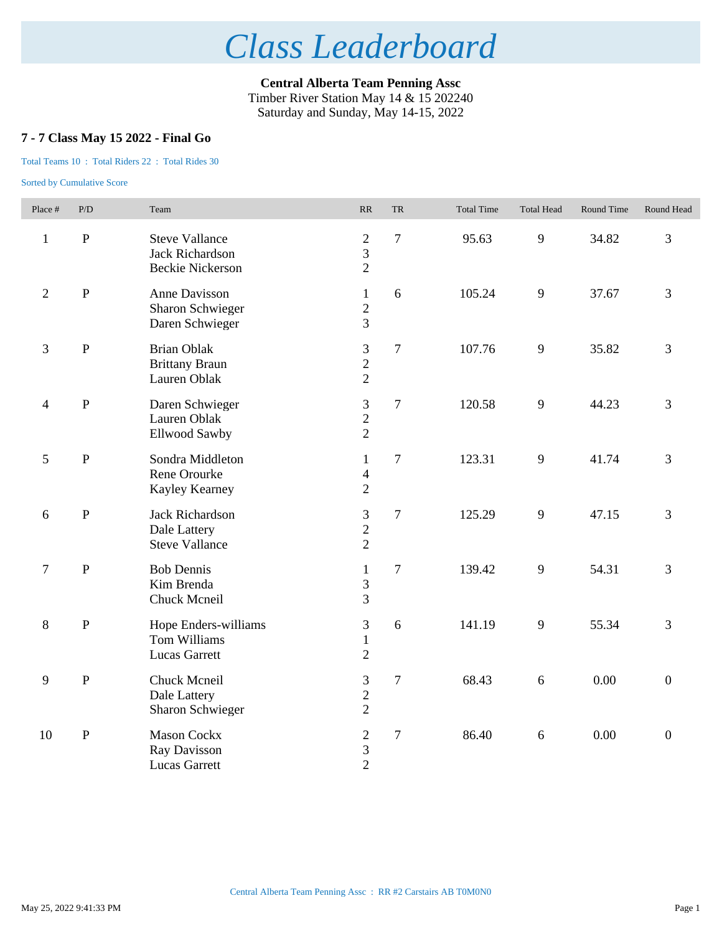**Central Alberta Team Penning Assc** Timber River Station May 14 & 15 202240 Saturday and Sunday, May 14-15, 2022

## **7 - 7 Class May 15 2022 - Final Go**

#### Total Teams 10 : Total Riders 22 : Total Rides 30

| Place #        | P/D          | Team                                                                       | RR                                                 | <b>TR</b>      | <b>Total Time</b> | <b>Total Head</b> | Round Time | Round Head       |
|----------------|--------------|----------------------------------------------------------------------------|----------------------------------------------------|----------------|-------------------|-------------------|------------|------------------|
| $\mathbf{1}$   | ${\bf P}$    | <b>Steve Vallance</b><br><b>Jack Richardson</b><br><b>Beckie Nickerson</b> | $\sqrt{2}$<br>3<br>$\overline{2}$                  | $\overline{7}$ | 95.63             | 9                 | 34.82      | 3                |
| $\overline{2}$ | $\, {\bf P}$ | Anne Davisson<br><b>Sharon Schwieger</b><br>Daren Schwieger                | $\mathbf{1}$<br>$\overline{2}$<br>$\overline{3}$   | 6              | 105.24            | 9                 | 37.67      | $\overline{3}$   |
| 3              | $\, {\bf P}$ | <b>Brian Oblak</b><br><b>Brittany Braun</b><br>Lauren Oblak                | 3<br>$\overline{c}$<br>$\overline{2}$              | $\overline{7}$ | 107.76            | 9                 | 35.82      | $\mathfrak{Z}$   |
| $\overline{4}$ | $\, {\bf P}$ | Daren Schwieger<br>Lauren Oblak<br>Ellwood Sawby                           | $\mathfrak{Z}$<br>$\overline{2}$<br>$\overline{2}$ | $\overline{7}$ | 120.58            | 9                 | 44.23      | 3                |
| $\mathfrak s$  | $\, {\bf P}$ | Sondra Middleton<br>Rene Orourke<br>Kayley Kearney                         | $\mathbf{1}$<br>$\overline{4}$<br>$\overline{2}$   | $\overline{7}$ | 123.31            | 9                 | 41.74      | 3                |
| 6              | $\, {\bf P}$ | Jack Richardson<br>Dale Lattery<br><b>Steve Vallance</b>                   | $\mathfrak{Z}$<br>$\overline{c}$<br>$\overline{2}$ | $\overline{7}$ | 125.29            | 9                 | 47.15      | 3                |
| $\tau$         | $\mathbf P$  | <b>Bob Dennis</b><br>Kim Brenda<br>Chuck Mcneil                            | $\mathbf{1}$<br>3<br>3                             | $\overline{7}$ | 139.42            | 9                 | 54.31      | 3                |
| 8              | $\mathbf{P}$ | Hope Enders-williams<br>Tom Williams<br><b>Lucas Garrett</b>               | 3<br>$\mathbf{1}$<br>$\overline{2}$                | 6              | 141.19            | 9                 | 55.34      | 3                |
| 9              | $\mathbf P$  | Chuck Mcneil<br>Dale Lattery<br><b>Sharon Schwieger</b>                    | 3<br>$\overline{2}$<br>$\overline{2}$              | $\overline{7}$ | 68.43             | 6                 | 0.00       | $\boldsymbol{0}$ |
| 10             | ${\bf P}$    | <b>Mason Cockx</b><br>Ray Davisson<br><b>Lucas Garrett</b>                 | $\overline{c}$<br>3<br>$\overline{2}$              | $\overline{7}$ | 86.40             | $\sqrt{6}$        | 0.00       | $\boldsymbol{0}$ |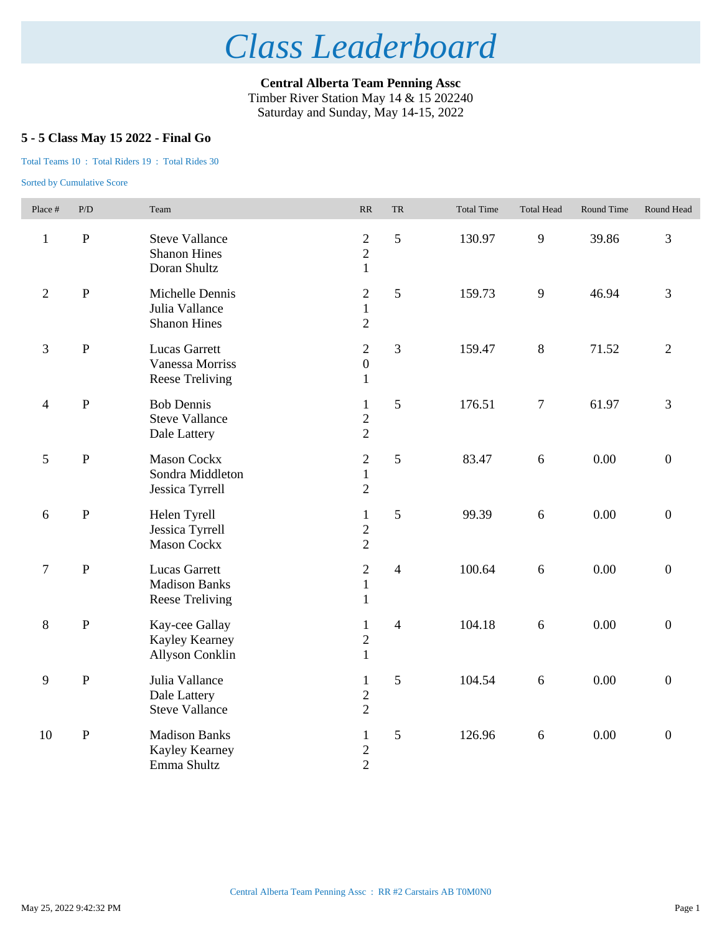**Central Alberta Team Penning Assc** Timber River Station May 14 & 15 202240 Saturday and Sunday, May 14-15, 2022

## **5 - 5 Class May 15 2022 - Final Go**

#### Total Teams 10 : Total Riders 19 : Total Rides 30

| Place #                  | P/D          | Team                                                                   | RR                                                 | <b>TR</b>      | <b>Total Time</b> | <b>Total Head</b> | Round Time | Round Head       |
|--------------------------|--------------|------------------------------------------------------------------------|----------------------------------------------------|----------------|-------------------|-------------------|------------|------------------|
| $\mathbf{1}$             | $\, {\bf P}$ | <b>Steve Vallance</b><br><b>Shanon Hines</b><br>Doran Shultz           | $\mathbf{2}$<br>$\overline{2}$<br>$\mathbf{1}$     | 5              | 130.97            | 9                 | 39.86      | 3                |
| $\overline{2}$           | $\mathbf{P}$ | Michelle Dennis<br>Julia Vallance<br><b>Shanon Hines</b>               | $\overline{2}$<br>$\mathbf{1}$<br>$\overline{2}$   | 5              | 159.73            | 9                 | 46.94      | 3                |
| 3                        | ${\bf P}$    | <b>Lucas Garrett</b><br>Vanessa Morriss<br><b>Reese Treliving</b>      | $\overline{2}$<br>$\boldsymbol{0}$<br>$\mathbf{1}$ | 3              | 159.47            | $8\,$             | 71.52      | $\overline{2}$   |
| $\overline{\mathcal{A}}$ | $\, {\bf P}$ | <b>Bob Dennis</b><br><b>Steve Vallance</b><br>Dale Lattery             | $\mathbf{1}$<br>$\overline{c}$<br>$\overline{2}$   | 5              | 176.51            | $\tau$            | 61.97      | 3                |
| 5                        | $\, {\bf P}$ | <b>Mason Cockx</b><br>Sondra Middleton<br>Jessica Tyrrell              | $\sqrt{2}$<br>$\mathbf{1}$<br>$\overline{2}$       | 5              | 83.47             | 6                 | 0.00       | $\boldsymbol{0}$ |
| 6                        | $\, {\bf P}$ | Helen Tyrell<br>Jessica Tyrrell<br><b>Mason Cockx</b>                  | $\mathbf{1}$<br>$\overline{c}$<br>$\overline{2}$   | 5              | 99.39             | 6                 | 0.00       | $\boldsymbol{0}$ |
| $\overline{7}$           | $\mathbf{P}$ | <b>Lucas Garrett</b><br><b>Madison Banks</b><br><b>Reese Treliving</b> | $\overline{2}$<br>$\mathbf{1}$<br>$\mathbf{1}$     | $\overline{4}$ | 100.64            | 6                 | 0.00       | $\boldsymbol{0}$ |
| 8                        | ${\bf P}$    | Kay-cee Gallay<br>Kayley Kearney<br><b>Allyson Conklin</b>             | $\mathbf{1}$<br>$\overline{c}$<br>$\mathbf{1}$     | $\overline{4}$ | 104.18            | 6                 | 0.00       | $\boldsymbol{0}$ |
| 9                        | $\, {\bf P}$ | Julia Vallance<br>Dale Lattery<br><b>Steve Vallance</b>                | $\mathbf{1}$<br>$\overline{2}$<br>$\overline{2}$   | 5              | 104.54            | 6                 | 0.00       | $\boldsymbol{0}$ |
| 10                       | $\, {\bf P}$ | <b>Madison Banks</b><br>Kayley Kearney<br>Emma Shultz                  | $\mathbf{1}$<br>$\overline{c}$<br>$\overline{2}$   | $\mathfrak s$  | 126.96            | $6\,$             | 0.00       | $\boldsymbol{0}$ |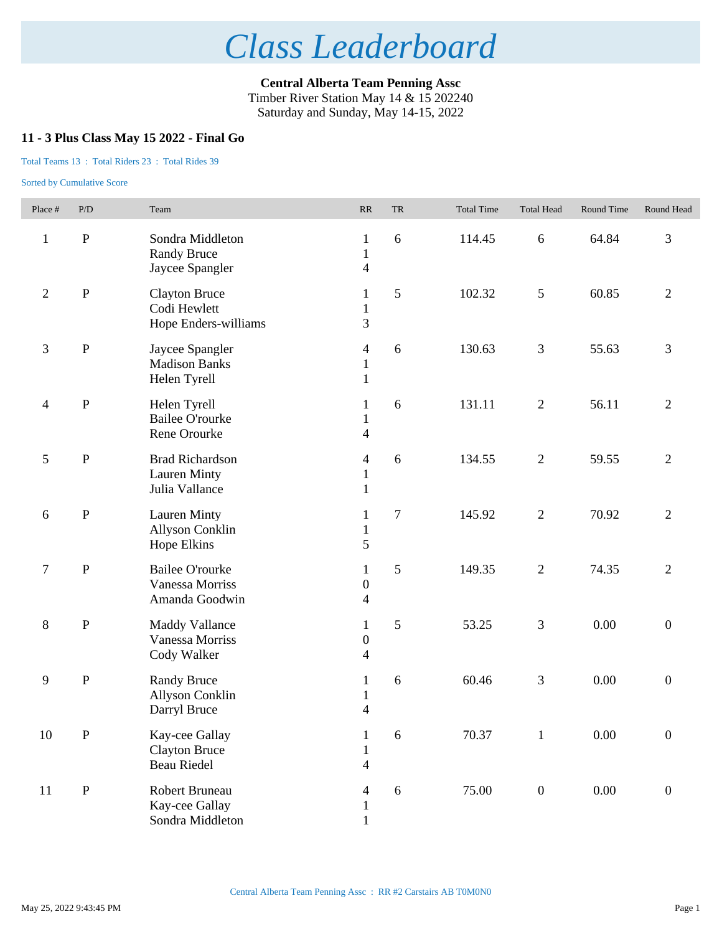**Central Alberta Team Penning Assc** Timber River Station May 14 & 15 202240 Saturday and Sunday, May 14-15, 2022

## **11 - 3 Plus Class May 15 2022 - Final Go**

#### Total Teams 13 : Total Riders 23 : Total Rides 39

| Place #                  | $\mathbf{P}/\mathbf{D}$ | Team                                                            | $\ensuremath{\mathbf{R}}\ensuremath{\mathbf{R}}$             | ${\rm TR}$ | <b>Total Time</b> | <b>Total Head</b> | Round Time | Round Head       |
|--------------------------|-------------------------|-----------------------------------------------------------------|--------------------------------------------------------------|------------|-------------------|-------------------|------------|------------------|
| $\mathbf{1}$             | ${\bf P}$               | Sondra Middleton<br><b>Randy Bruce</b><br>Jaycee Spangler       | $\mathbf{1}$<br>$\mathbf{1}$<br>$\overline{\mathcal{L}}$     | 6          | 114.45            | $6\,$             | 64.84      | 3                |
| $\overline{2}$           | ${\bf P}$               | <b>Clayton Bruce</b><br>Codi Hewlett<br>Hope Enders-williams    | $\mathbf{1}$<br>$\mathbf{1}$<br>3                            | 5          | 102.32            | $\mathfrak{S}$    | 60.85      | $\overline{2}$   |
| 3                        | ${\bf P}$               | Jaycee Spangler<br><b>Madison Banks</b><br>Helen Tyrell         | $\overline{4}$<br>$\mathbf{1}$<br>$\mathbf{1}$               | 6          | 130.63            | $\mathfrak{Z}$    | 55.63      | 3                |
| $\overline{\mathcal{A}}$ | $\, {\bf P}$            | Helen Tyrell<br><b>Bailee O'rourke</b><br>Rene Orourke          | 1<br>$\mathbf{1}$<br>$\overline{\mathbf{4}}$                 | 6          | 131.11            | $\mathbf{2}$      | 56.11      | $\overline{2}$   |
| 5                        | $\mathbf{P}$            | <b>Brad Richardson</b><br><b>Lauren Minty</b><br>Julia Vallance | 4<br>$\mathbf{1}$<br>$\mathbf{1}$                            | 6          | 134.55            | $\overline{2}$    | 59.55      | $\overline{2}$   |
| 6                        | $\, {\bf P}$            | <b>Lauren Minty</b><br>Allyson Conklin<br>Hope Elkins           | $\mathbf{1}$<br>$\mathbf{1}$<br>5                            | $\tau$     | 145.92            | $\mathbf{2}$      | 70.92      | $\overline{2}$   |
| $\boldsymbol{7}$         | ${\bf P}$               | <b>Bailee O'rourke</b><br>Vanessa Morriss<br>Amanda Goodwin     | $\mathbf{1}$<br>$\boldsymbol{0}$<br>$\overline{\mathcal{A}}$ | 5          | 149.35            | $\sqrt{2}$        | 74.35      | $\overline{2}$   |
| $\,8\,$                  | $\, {\bf P}$            | <b>Maddy Vallance</b><br>Vanessa Morriss<br>Cody Walker         | $\mathbf{1}$<br>$\boldsymbol{0}$<br>$\overline{\mathcal{L}}$ | 5          | 53.25             | $\overline{3}$    | 0.00       | $\boldsymbol{0}$ |
| 9                        | $\, {\bf P}$            | <b>Randy Bruce</b><br>Allyson Conklin<br>Darryl Bruce           | $\mathbf{1}$<br>$\mathbf{1}$<br>$\overline{\mathcal{L}}$     | 6          | 60.46             | $\mathfrak{Z}$    | 0.00       | $\boldsymbol{0}$ |
| $10\,$                   | ${\bf P}$               | Kay-cee Gallay<br><b>Clayton Bruce</b><br>Beau Riedel           | $\mathbf{1}$<br>$\mathbf 1$<br>4                             | 6          | 70.37             | $\,1\,$           | $0.00\,$   | $\boldsymbol{0}$ |
| 11                       | ${\bf P}$               | Robert Bruneau<br>Kay-cee Gallay<br>Sondra Middleton            | 4<br>$\mathbf{1}$<br>$\mathbf{1}$                            | $6\,$      | 75.00             | $\boldsymbol{0}$  | $0.00\,$   | $\boldsymbol{0}$ |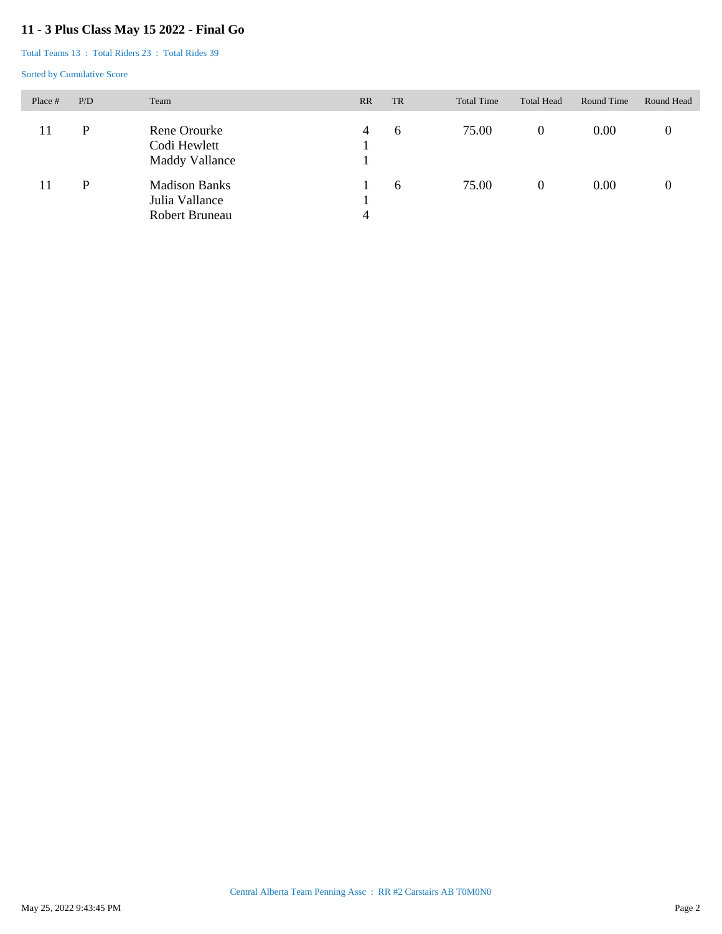## **11 - 3 Plus Class May 15 2022 - Final Go**

Total Teams 13 : Total Riders 23 : Total Rides 39

| Place # | P/D | Team                                                     | <b>RR</b> | <b>TR</b> | <b>Total Time</b> | <b>Total Head</b> | Round Time | Round Head |
|---------|-----|----------------------------------------------------------|-----------|-----------|-------------------|-------------------|------------|------------|
| 11      | P   | Rene Orourke<br>Codi Hewlett<br>Maddy Vallance           | 4         | 6         | 75.00             | $\overline{0}$    | 0.00       |            |
| 11      | P   | <b>Madison Banks</b><br>Julia Vallance<br>Robert Bruneau | 4         | 6         | 75.00             | $\Omega$          | 0.00       |            |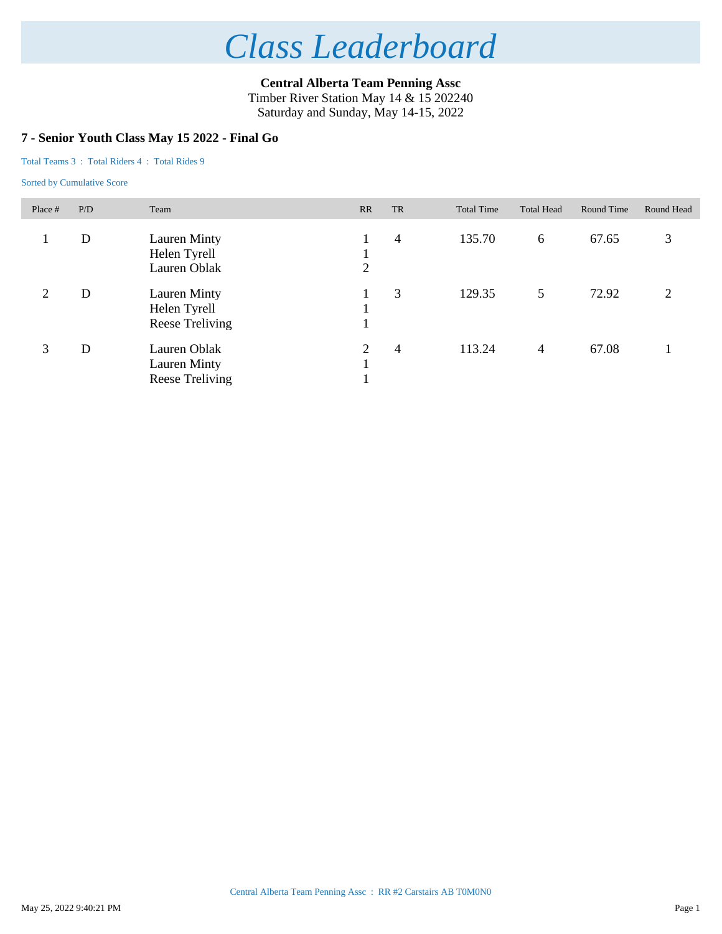**Central Alberta Team Penning Assc** Timber River Station May 14 & 15 202240

Saturday and Sunday, May 14-15, 2022

### **7 - Senior Youth Class May 15 2022 - Final Go**

Total Teams 3 : Total Riders 4 : Total Rides 9

| Place #        | P/D | Team                                                   | RR     | <b>TR</b>      | <b>Total Time</b> | <b>Total Head</b> | Round Time | Round Head    |
|----------------|-----|--------------------------------------------------------|--------|----------------|-------------------|-------------------|------------|---------------|
|                | D   | Lauren Minty<br>Helen Tyrell<br>Lauren Oblak           | 2      | 4              | 135.70            | 6                 | 67.65      | 3             |
| $\overline{2}$ | D   | Lauren Minty<br>Helen Tyrell<br>Reese Treliving        |        | 3              | 129.35            | 5                 | 72.92      | $\mathcal{L}$ |
| 3              | D   | Lauren Oblak<br><b>Lauren Minty</b><br>Reese Treliving | 2<br>1 | $\overline{4}$ | 113.24            | $\overline{4}$    | 67.08      |               |